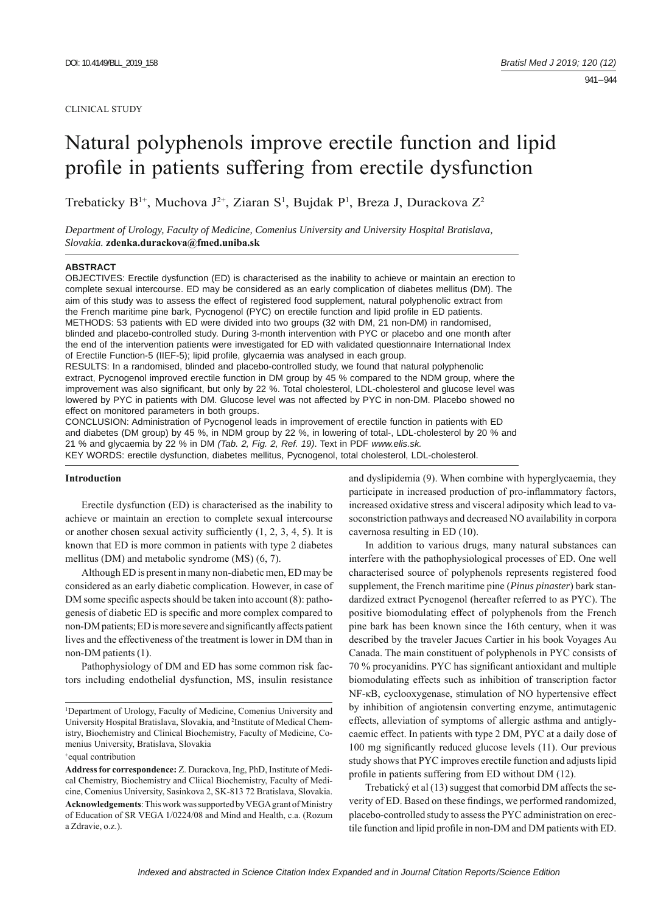# Natural polyphenols improve erectile function and lipid profile in patients suffering from erectile dysfunction

Trebaticky B<sup>1+</sup>, Muchova J<sup>2+</sup>, Ziaran S<sup>1</sup>, Bujdak P<sup>1</sup>, Breza J, Durackova Z<sup>2</sup>

*Department of Urology, Faculty of Medicine, Comenius University and University Hospital Bratislava, Slovakia.* **zdenka.durackova@fmed.uniba.sk**

#### **ABSTRACT**

OBJECTIVES: Erectile dysfunction (ED) is characterised as the inability to achieve or maintain an erection to complete sexual intercourse. ED may be considered as an early complication of diabetes mellitus (DM). The aim of this study was to assess the effect of registered food supplement, natural polyphenolic extract from the French maritime pine bark, Pycnogenol (PYC) on erectile function and lipid profile in ED patients. METHODS: 53 patients with ED were divided into two groups (32 with DM, 21 non-DM) in randomised, blinded and placebo-controlled study. During 3-month intervention with PYC or placebo and one month after the end of the intervention patients were investigated for ED with validated questionnaire International Index of Erectile Function-5 (IIEF-5); lipid profile, glycaemia was analysed in each group.

RESULTS: In a randomised, blinded and placebo-controlled study, we found that natural polyphenolic extract, Pycnogenol improved erectile function in DM group by 45 % compared to the NDM group, where the improvement was also significant, but only by 22 %. Total cholesterol, LDL-cholesterol and glucose level was lowered by PYC in patients with DM. Glucose level was not affected by PYC in non-DM. Placebo showed no effect on monitored parameters in both groups.

CONCLUSION: Administration of Pycnogenol leads in improvement of erectile function in patients with ED and diabetes (DM group) by 45 %, in NDM group by 22 %, in lowering of total-, LDL-cholesterol by 20 % and 21 % and glycaemia by 22 % in DM *(Tab. 2, Fig. 2, Ref. 19)*. Text in PDF *www.elis.sk.* KEY WORDS: erectile dysfunction, diabetes mellitus, Pycnogenol, total cholesterol, LDL-cholesterol.

## **Introduction**

Erectile dysfunction (ED) is characterised as the inability to achieve or maintain an erection to complete sexual intercourse or another chosen sexual activity sufficiently  $(1, 2, 3, 4, 5)$ . It is known that ED is more common in patients with type 2 diabetes mellitus (DM) and metabolic syndrome (MS) (6, 7).

Although ED is present in many non-diabetic men, ED may be considered as an early diabetic complication. However, in case of DM some specific aspects should be taken into account  $(8)$ : pathogenesis of diabetic ED is specific and more complex compared to non-DM patients; ED is more severe and significantly affects patient lives and the effectiveness of the treatment is lower in DM than in non-DM patients (1).

Pathophysiology of DM and ED has some common risk factors including endothelial dysfunction, MS, insulin resistance and dyslipidemia (9). When combine with hyperglycaemia, they participate in increased production of pro-inflammatory factors, increased oxidative stress and visceral adiposity which lead to vasoconstriction pathways and decreased NO availability in corpora cavernosa resulting in ED (10).

In addition to various drugs, many natural substances can interfere with the pathophysiological processes of ED. One well characterised source of polyphenols represents registered food supplement, the French maritime pine (*Pinus pinaster*) bark standardized extract Pycnogenol (hereafter referred to as PYC). The positive biomodulating effect of polyphenols from the French pine bark has been known since the 16th century, when it was described by the traveler Jacues Cartier in his book Voyages Au Canada. The main constituent of polyphenols in PYC consists of 70 % procyanidins. PYC has significant antioxidant and multiple biomodulating effects such as inhibition of transcription factor NF-κB, cyclooxygenase, stimulation of NO hypertensive effect by inhibition of angiotensin converting enzyme, antimutagenic effects, alleviation of symptoms of allergic asthma and antiglycaemic effect. In patients with type 2 DM, PYC at a daily dose of 100 mg significantly reduced glucose levels (11). Our previous study shows that PYC improves erectile function and adjusts lipid profile in patients suffering from ED without DM (12).

Trebatický et al (13) suggest that comorbid DM affects the severity of ED. Based on these findings, we performed randomized, placebo-controlled study to assess the PYC administration on erectile function and lipid profile in non-DM and DM patients with ED.

<sup>1</sup> Department of Urology, Faculty of Medicine, Comenius University and University Hospital Bratislava, Slovakia, and 2 Institute of Medical Chemistry, Biochemistry and Clinical Biochemistry, Faculty of Medicine, Comenius University, Bratislava, Slovakia

<sup>+</sup> equal contribution

**Address for correspondence:** Z. Durackova, Ing, PhD, Institute of Medical Chemistry, Biochemistry and Cliical Biochemistry, Faculty of Medicine, Comenius University, Sasinkova 2, SK-813 72 Bratislava, Slovakia. **Acknowledgements**: This work was supported by VEGA grant of Ministry of Education of SR VEGA 1/0224/08 and Mind and Health, c.a. (Rozum a Zdravie, o.z.).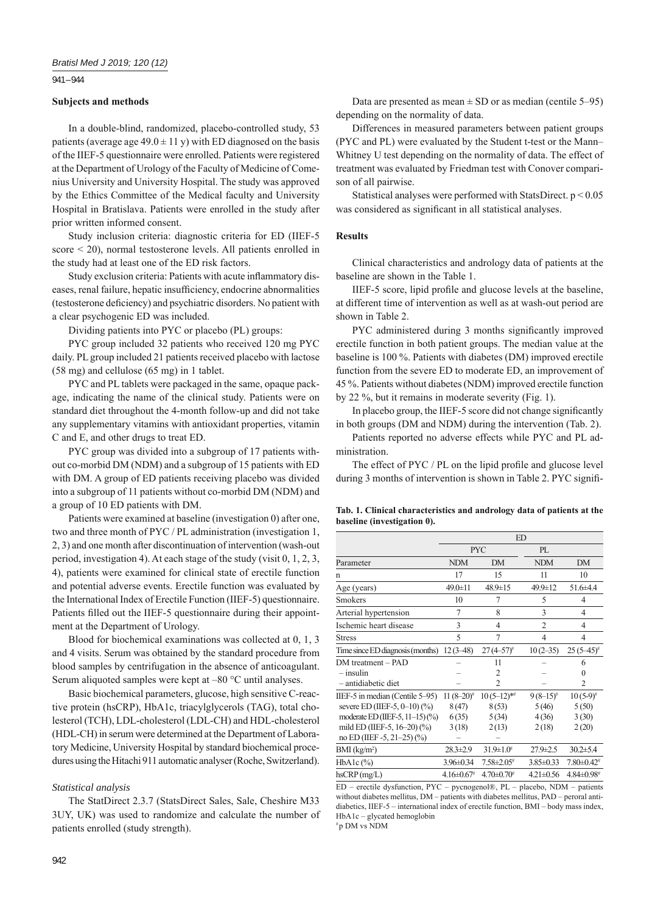## 941 – 944

### **Subjects and methods**

In a double-blind, randomized, placebo-controlled study, 53 patients (average age  $49.0 \pm 11$  y) with ED diagnosed on the basis of the IIEF-5 questionnaire were enrolled. Patients were registered at the Department of Urology of the Faculty of Medicine of Comenius University and University Hospital. The study was approved by the Ethics Committee of the Medical faculty and University Hospital in Bratislava. Patients were enrolled in the study after prior written informed consent.

Study inclusion criteria: diagnostic criteria for ED (IIEF-5 score < 20), normal testosterone levels. All patients enrolled in the study had at least one of the ED risk factors.

Study exclusion criteria: Patients with acute inflammatory diseases, renal failure, hepatic insufficiency, endocrine abnormalities (testosterone deficiency) and psychiatric disorders. No patient with a clear psychogenic ED was included.

Dividing patients into PYC or placebo (PL) groups:

PYC group included 32 patients who received 120 mg PYC daily. PL group included 21 patients received placebo with lactose (58 mg) and cellulose (65 mg) in 1 tablet.

PYC and PL tablets were packaged in the same, opaque package, indicating the name of the clinical study. Patients were on standard diet throughout the 4-month follow-up and did not take any supplementary vitamins with antioxidant properties, vitamin C and E, and other drugs to treat ED.

PYC group was divided into a subgroup of 17 patients without co-morbid DM (NDM) and a subgroup of 15 patients with ED with DM. A group of ED patients receiving placebo was divided into a subgroup of 11 patients without co-morbid DM (NDM) and a group of 10 ED patients with DM.

Patients were examined at baseline (investigation 0) after one, two and three month of PYC / PL administration (investigation 1, 2, 3) and one month after discontinuation of intervention (wash-out period, investigation 4). At each stage of the study (visit 0, 1, 2, 3, 4), patients were examined for clinical state of erectile function and potential adverse events. Erectile function was evaluated by the International Index of Erectile Function (IIEF-5) questionnaire. Patients filled out the IIEF-5 questionnaire during their appointment at the Department of Urology.

Blood for biochemical examinations was collected at 0, 1, 3 and 4 visits. Serum was obtained by the standard procedure from blood samples by centrifugation in the absence of anticoagulant. Serum aliquoted samples were kept at –80 °C until analyses.

Basic biochemical parameters, glucose, high sensitive C-reactive protein (hsCRP), HbA1c, triacylglycerols (TAG), total cholesterol (TCH), LDL-cholesterol (LDL-CH) and HDL-cholesterol (HDL-CH) in serum were determined at the Department of Laboratory Medicine, University Hospital by standard biochemical procedures using the Hitachi 911 automatic analyser (Roche, Switzerland).

## **Statistical** analysis

The StatDirect 2.3.7 (StatsDirect Sales, Sale, Cheshire M33 3UY, UK) was used to randomize and calculate the number of patients enrolled (study strength).

Data are presented as mean  $\pm$  SD or as median (centile 5–95) depending on the normality of data.

Differences in measured parameters between patient groups (PYC and PL) were evaluated by the Student t-test or the Mann– Whitney U test depending on the normality of data. The effect of treatment was evaluated by Friedman test with Conover comparison of all pairwise.

Statistical analyses were performed with StatsDirect. p < 0.05 was considered as significant in all statistical analyses.

## **Results**

Clinical characteristics and andrology data of patients at the baseline are shown in the Table 1.

IIEF-5 score, lipid profile and glucose levels at the baseline, at different time of intervention as well as at wash-out period are shown in Table 2.

PYC administered during 3 months significantly improved erectile function in both patient groups. The median value at the baseline is 100 %. Patients with diabetes (DM) improved erectile function from the severe ED to moderate ED, an improvement of 45 %. Patients without diabetes (NDM) improved erectile function by 22 %, but it remains in moderate severity (Fig. 1).

In placebo group, the IIEF-5 score did not change significantly in both groups (DM and NDM) during the intervention (Tab. 2).

Patients reported no adverse effects while PYC and PL administration.

The effect of  $PYC / PL$  on the lipid profile and glucose level during 3 months of intervention is shown in Table 2. PYC signifi-

|  |                             |  | Tab. 1. Clinical characteristics and andrology data of patients at the |  |  |  |
|--|-----------------------------|--|------------------------------------------------------------------------|--|--|--|
|  | baseline (investigation 0). |  |                                                                        |  |  |  |

|                                             | <b>ED</b>                  |                        |                 |                              |
|---------------------------------------------|----------------------------|------------------------|-----------------|------------------------------|
|                                             |                            | <b>PYC</b>             | PL              |                              |
| Parameter                                   | <b>NDM</b>                 | <b>DM</b>              | <b>NDM</b>      | DM                           |
| n                                           | 17                         | 15                     | 11              | 10                           |
| Age (years)                                 | $49.0 \pm 11$              | 48.9±15                | 49.9±12         | 51.6±4.4                     |
| <b>Smokers</b>                              | 10                         | 7                      | 5               | 4                            |
| Arterial hypertension                       | 7                          | 8                      | 3               | 4                            |
| Ischemic heart disease                      | 3                          | 4                      | $\overline{c}$  | 4                            |
| <b>Stress</b>                               | 5                          | 7                      | 4               | 4                            |
| Time since ED diagnosis (months) $12(3-48)$ |                            | $27(4-57)^{\text{\#}}$ | $10(2-35)$      | $25(5-45)^{\#}$              |
| DM treatment - PAD                          |                            | 11                     |                 | 6                            |
| $-$ insulin                                 |                            | $\overline{c}$         |                 | 0                            |
| - antidiabetic diet                         |                            | $\overline{c}$         |                 | 2                            |
| IIEF-5 in median (Centile 5–95)             | 11 $(8-20)^{\#}$           | $10(5-12)*$            | $9(8-15)^{\#}$  | $10(5-9)$ #                  |
| severe ED (IIEF-5, $0-10$ ) $(%$ )          | 8(47)                      | 8(53)                  | 5(46)           | 5(50)                        |
| moderate ED (IIEF-5, 11-15) (%)             | 6(35)                      | 5(34)                  | 4(36)           | 3(30)                        |
| mild ED (IIEF-5, 16-20) (%)                 | 3(18)                      | 2(13)                  | 2(18)           | 2(20)                        |
| no ED (IIEF -5, 21–25) (%)                  |                            |                        |                 |                              |
| $BMI$ (kg/m <sup>2</sup> )                  | $28.3 \pm 2.9$             | $31.9 \pm 1.0^4$       | $27.9 \pm 2.5$  | $30.2 \pm 5.4$               |
| $HbA1c$ (%)                                 | 3.96±0.34                  | $7.58 \pm 2.05$ #      | $3.85 \pm 0.33$ | $7.80 \pm 0.42$ <sup>#</sup> |
| $h$ s $CRP$ (mg/L)                          | $4.16\pm0.67$ <sup>#</sup> | $4.70 \pm 0.70^{\#}$   | $4.21 \pm 0.56$ | $4.84 \pm 0.98$ #            |

ED – erectile dysfunction, PYC – pycnogenol®, PL – placebo, NDM – patients without diabetes mellitus, DM – patients with diabetes mellitus, PAD – peroral antidiabetics, IIEF-5 – international index of erectile function, BMI – body mass index, HbA1c – glycated hemoglobin

# p DM vs NDM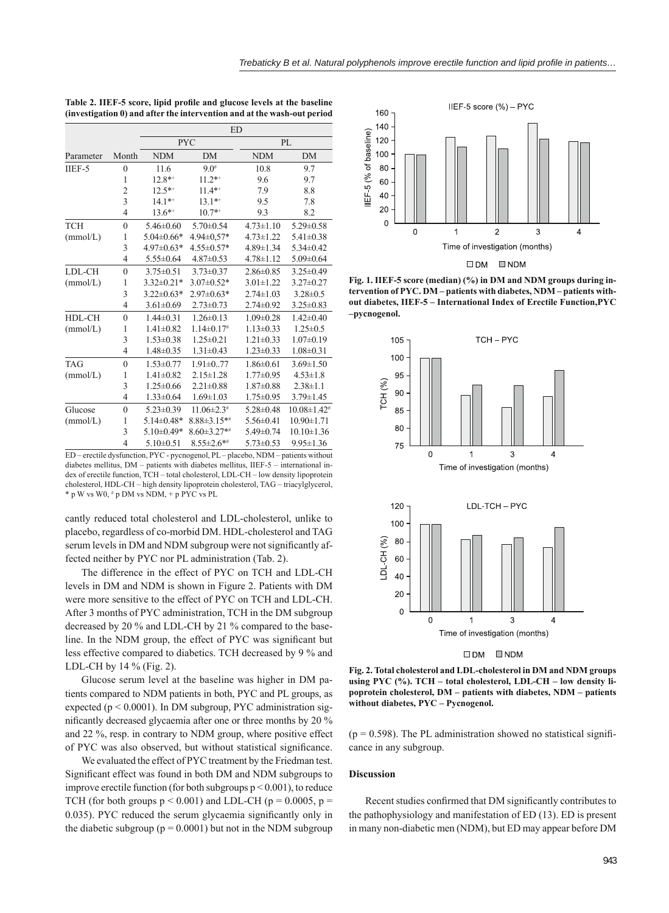|            |                | <b>ED</b>        |                              |                 |                               |  |  |
|------------|----------------|------------------|------------------------------|-----------------|-------------------------------|--|--|
|            |                |                  | <b>PYC</b>                   | PL              |                               |  |  |
| Parameter  | Month          | <b>NDM</b>       | <b>DM</b>                    | <b>NDM</b>      | <b>DM</b>                     |  |  |
| $IIEF-5$   | $\overline{0}$ | 11.6             | $9.0^{#}$                    | 10.8            | 9.7                           |  |  |
|            | 1              | $12.8**$         | $11.2**$                     | 9.6             | 9.7                           |  |  |
|            | $\overline{c}$ | $12.5***$        | $11.4**$                     | 7.9             | 8.8                           |  |  |
|            | $\overline{3}$ | $14.1***$        | $13.1**$                     | 9.5             | 7.8                           |  |  |
|            | $\overline{4}$ | $13.6**$         | $10.7**$                     | 9.3             | 8.2                           |  |  |
| <b>TCH</b> | $\overline{0}$ | $5.46 \pm 0.60$  | $5.70 \pm 0.54$              | $4.73 \pm 1.10$ | $5.29 \pm 0.58$               |  |  |
| (mmol/L)   | 1              | $5.04\pm0.66*$   | 4.94±0.57*                   | $4.73 \pm 1.22$ | $5.41 \pm 0.38$               |  |  |
|            | 3              | $4.97 \pm 0.63*$ | $4.55 \pm 0.57*$             | 4.89±1.34       | $5.34 \pm 0.42$               |  |  |
|            | 4              | $5.55 \pm 0.64$  | $4.87 \pm 0.53$              | $4.78 \pm 1.12$ | $5.09 \pm 0.64$               |  |  |
| LDL-CH     | $\overline{0}$ | $3.75 \pm 0.51$  | $3.73 \pm 0.37$              | $2.86 \pm 0.85$ | $3.25 \pm 0.49$               |  |  |
| (mmol/L)   | 1              | $3.32 \pm 0.21*$ | $3.07 \pm 0.52*$             | $3.01 \pm 1.22$ | $3.27 \pm 0.27$               |  |  |
|            | 3              | $3.22 \pm 0.63*$ | $2.97 \pm 0.63*$             | $2.74 \pm 1.03$ | $3.28 \pm 0.5$                |  |  |
|            | $\overline{4}$ | $3.61 \pm 0.69$  | $2.73 \pm 0.73$              | $2.74 \pm 0.92$ | $3.25 \pm 0.83$               |  |  |
| HDL-CH     | $\theta$       | $1.44\pm 0.31$   | $1.26 \pm 0.13$              | $1.09 \pm 0.28$ | $1.42 \pm 0.40$               |  |  |
| (mmol/L)   | 1              | $1.41 \pm 0.82$  | $1.14 \pm 0.17$ <sup>#</sup> | $1.13 \pm 0.33$ | $1.25 \pm 0.5$                |  |  |
|            | 3              | $1.53 \pm 0.38$  | $1.25 \pm 0.21$              | $1.21 \pm 0.33$ | $1.07 \pm 0.19$               |  |  |
|            | 4              | 1.48±0.35        | $1.31 \pm 0.43$              | $1.23 \pm 0.33$ | $1.08 \pm 0.31$               |  |  |
| <b>TAG</b> | $\theta$       | $1.53 \pm 0.77$  | $1.91 \pm 0.77$              | $1.86\pm0.61$   | $3.69 \pm 1.50$               |  |  |
| (mmol/L)   | 1              | $1.41 \pm 0.82$  | $2.15 \pm 1.28$              | $1.77 \pm 0.95$ | $4.53 \pm 1.8$                |  |  |
|            | 3              | $1.25 \pm 0.66$  | $2.21 \pm 0.88$              | $1.87 \pm 0.88$ | $2.38 \pm 1.1$                |  |  |
|            | 4              | $1.33 \pm 0.64$  | $1.69 \pm 1.03$              | $1.75 \pm 0.95$ | $3.79 \pm 1.45$               |  |  |
| Glucose    | $\overline{0}$ | $5.23 \pm 0.39$  | $11.06 \pm 2.3$ <sup>#</sup> | $5.28 \pm 0.48$ | $10.08 \pm 1.42$ <sup>#</sup> |  |  |
| (mmol/L)   | 1              | $5.14 \pm 0.48*$ | $8.88 \pm 3.15**$            | $5.56 \pm 0.41$ | $10.90 \pm 1.71$              |  |  |
|            | 3              | $5.10\pm0.49*$   | $8.60 \pm 3.27$ **           | $5.49 \pm 0.74$ | $10.10 \pm 1.36$              |  |  |
|            | $\overline{4}$ | $5.10 \pm 0.51$  | $8.55 \pm 2.6$ **            | $5.73 \pm 0.53$ | $9.95 \pm 1.36$               |  |  |

Table 2. IIEF-5 score, lipid profile and glucose levels at the baseline **(investigation 0) and after the intervention and at the wash-out period**

ED – erectile dysfunction, PYC - pycnogenol, PL – placebo, NDM – patients without diabetes mellitus, DM – patients with diabetes mellitus, IIEF-5 – international index of erectile function, TCH – total cholesterol, LDL-CH – low density lipoprotein cholesterol, HDL-CH – high density lipoprotein cholesterol, TAG – triacylglycerol, \* p W vs W0, # p DM vs NDM, + p PYC vs PL

cantly reduced total cholesterol and LDL-cholesterol, unlike to placebo, regardless of co-morbid DM. HDL-cholesterol and TAG serum levels in DM and NDM subgroup were not significantly affected neither by PYC nor PL administration (Tab. 2).

The difference in the effect of PYC on TCH and LDL-CH levels in DM and NDM is shown in Figure 2. Patients with DM were more sensitive to the effect of PYC on TCH and LDL-CH. After 3 months of PYC administration, TCH in the DM subgroup decreased by 20 % and LDL-CH by 21 % compared to the baseline. In the NDM group, the effect of PYC was significant but less effective compared to diabetics. TCH decreased by 9 % and LDL-CH by 14 % (Fig. 2).

Glucose serum level at the baseline was higher in DM patients compared to NDM patients in both, PYC and PL groups, as expected ( $p < 0.0001$ ). In DM subgroup, PYC administration significantly decreased glycaemia after one or three months by 20 % and 22 %, resp. in contrary to NDM group, where positive effect of PYC was also observed, but without statistical significance.

We evaluated the effect of PYC treatment by the Friedman test. Significant effect was found in both DM and NDM subgroups to improve erectile function (for both subgroups  $p < 0.001$ ), to reduce TCH (for both groups  $p < 0.001$ ) and LDL-CH ( $p = 0.0005$ ,  $p =$ 0.035). PYC reduced the serum glycaemia significantly only in the diabetic subgroup ( $p = 0.0001$ ) but not in the NDM subgroup



 $\square$ DM  $\square$ NDM





 $\square$  DM  $\square$  NDM

**Fig. 2. Total cholesterol and LDL-cholesterol in DM and NDM groups using PYC (%). TCH – total cholesterol, LDL-CH – low density lipoprotein cholesterol, DM – patients with diabetes, NDM – patients without diabetes, PYC – Pycnogenol.**

 $(p = 0.598)$ . The PL administration showed no statistical significance in any subgroup.

#### **Discussion**

Recent studies confirmed that DM significantly contributes to the pathophysiology and manifestation of ED (13). ED is present in many non-diabetic men (NDM), but ED may appear before DM